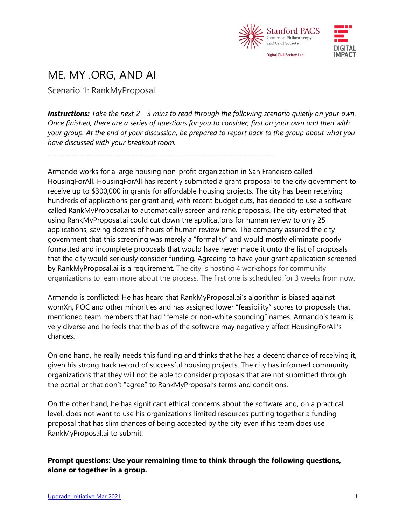

## ME, MY .ORG, AND AI

Scenario 1: RankMyProposal

*Instructions: Take the next 2 - 3 mins to read through the following scenario quietly on your own. Once finished, there are a series of questions for you to consider, first on your own and then with your group. At the end of your discussion, be prepared to report back to the group about what you have discussed with your breakout room.*

\_\_\_\_\_\_\_\_\_\_\_\_\_\_\_\_\_\_\_\_\_\_\_\_\_\_\_\_\_\_\_\_\_\_\_\_\_\_\_\_\_\_\_\_\_\_\_\_\_\_\_\_\_\_\_\_\_\_\_\_\_\_\_\_\_\_\_\_\_\_\_\_\_\_\_

Armando works for a large housing non-profit organization in San Francisco called HousingForAll. HousingForAll has recently submitted a grant proposal to the city government to receive up to \$300,000 in grants for affordable housing projects. The city has been receiving hundreds of applications per grant and, with recent budget cuts, has decided to use a software called RankMyProposal.ai to automatically screen and rank proposals. The city estimated that using RankMyProposal.ai could cut down the applications for human review to only 25 applications, saving dozens of hours of human review time. The company assured the city government that this screening was merely a "formality" and would mostly eliminate poorly formatted and incomplete proposals that would have never made it onto the list of proposals that the city would seriously consider funding. Agreeing to have your grant application screened by RankMyProposal.ai is a requirement. The city is hosting 4 workshops for community organizations to learn more about the process. The first one is scheduled for 3 weeks from now.

Armando is conflicted: He has heard that RankMyProposal.ai's algorithm is biased against womXn, POC and other minorities and has assigned lower "feasibility" scores to proposals that mentioned team members that had "female or non-white sounding" names. Armando's team is very diverse and he feels that the bias of the software may negatively affect HousingForAll's chances.

On one hand, he really needs this funding and thinks that he has a decent chance of receiving it, given his strong track record of successful housing projects. The city has informed community organizations that they will not be able to consider proposals that are not submitted through the portal or that don't "agree" to RankMyProposal's terms and conditions.

On the other hand, he has significant ethical concerns about the software and, on a practical level, does not want to use his organization's limited resources putting together a funding proposal that has slim chances of being accepted by the city even if his team does use RankMyProposal.ai to submit.

**Prompt questions: Use your remaining time to think through the following questions, alone or together in a group.**